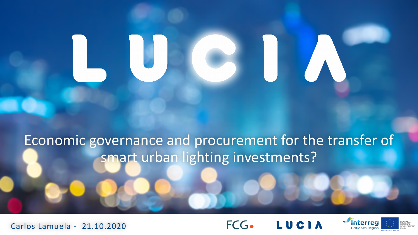### Economic governance and procurement for the transfer of smart urban lighting investments?





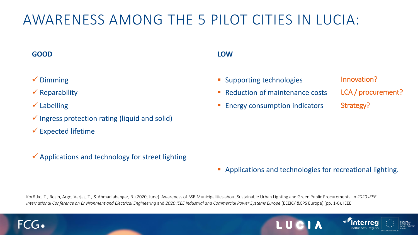### AWARENESS AMONG THE 5 PILOT CITIES IN LUCIA:

#### **GOOD**

### ✓ Dimming

- $\checkmark$  Reparability
- $\checkmark$  Labelling
- $\checkmark$  Ingress protection rating (liquid and solid)
- $\checkmark$  Expected lifetime
- $\checkmark$  Applications and technology for street lighting

### **LOW**

- **Supporting technologies**
- Reduction of maintenance costs
- **Energy consumption indicators**
- Innovation? LCA / procurement? Strategy?

■ Applications and technologies for recreational lighting.

Korõtko, T., Rosin, Argo, Varjas, T., & Ahmadiahangar, R. (2020, June). Awareness of BSR Municipalities about Sustainable Urban Lighting and Green Public Procurements. In *2020 IEEE International Conference on Environment and Electrical Engineering* and *2020 IEEE Industrial and Commercial Power Systems Europe* (EEEIC/I&CPS Europe) (pp. 1-6). IEEE.



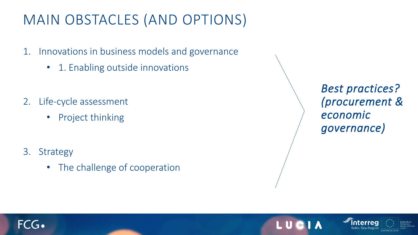### MAIN OBSTACLES (AND OPTIONS)

- 1. Innovations in business models and governance
	- 1. Enabling outside innovations
- 2. Life-cycle assessment
	- Project thinking
- 3. Strategy
	- The challenge of cooperation

*Best practices? (procurement & economic governance)*



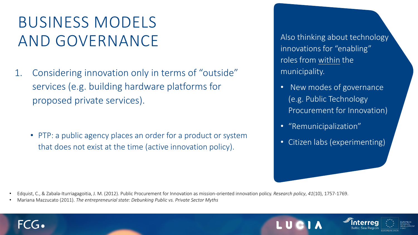## BUSINESS MODELS AND GOVERNANCE Also thinking about technology

1. Considering innovation only in terms of "outside" services (e.g. building hardware platforms for proposed private services).

• PTP: a public agency places an order for a product or system that does not exist at the time (active innovation policy).

innovations for "enabling" roles from within the municipality.

- New modes of governance (e.g. Public Technology Procurement for Innovation)
- "Remunicipalization"
- Citizen labs (experimenting)

• Edquist, C., & Zabala-Iturriagagoitia, J. M. (2012). Public Procurement for Innovation as mission-oriented innovation policy. *Research policy*, *41*(10), 1757-1769.

• Mariana Mazzucato (2011). *The entrepreneurial state: Debunking Public vs. Private Sector Myths* 

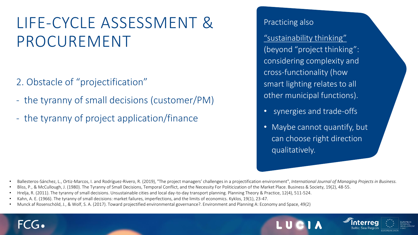## LIFE-CYCLE ASSESSMENT & PROCUREMENT

- 2. Obstacle of "projectification"
- the tyranny of small decisions (customer/PM)
- the tyranny of project application/finance

Practicing also

"sustainability thinking" (beyond "project thinking": considering complexity and cross-functionality (how smart lighting relates to all other municipal functions).

- synergies and trade-offs
- Maybe cannot quantify, but can choose right direction qualitatively.

• Ballesteros-Sánchez, L., Ortiz-Marcos, I. and Rodríguez-Rivero, R. (2019), "The project managers' challenges in a projectification environment", *International Journal of Managing Projects in Business.*

- Bliss, P., & McCullough, J. (1980). The Tyranny of Small Decisions, Temporal Conflict, and the Necessity For Politicization of the Market Place. Business & Society, 19(2), 48-55.
- Hrelja, R. (2011). The tyranny of small decisions. Unsustainable cities and local day-to-day transport planning. Planning Theory & Practice, 12(4), 511-524.
- Kahn, A. E. (1966). The tyranny of small decisions: market failures, imperfections, and the limits of economics. Kyklos, 19(1), 23-47.
- Munck af Rosenschöld, J., & Wolf, S. A. (2017). Toward projectified environmental governance?. Environment and Planning A: Economy and Space, 49(2)

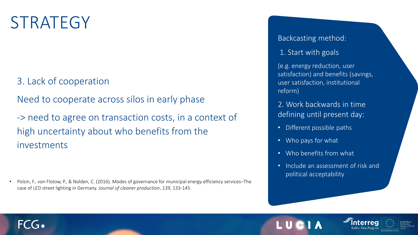## **STRATEGY**

 $FCG_2$ 

### 3. Lack of cooperation

Need to cooperate across silos in early phase

-> need to agree on transaction costs, in a context of high uncertainty about who benefits from the investments

• Polzin, F., von Flotow, P., & Nolden, C. (2016). Modes of governance for municipal energy efficiency services–The case of LED street lighting in Germany. *Journal of cleaner production*, *139*, 133-145.

#### Backcasting method:

#### 1. Start with goals

(e.g. energy reduction, user satisfaction) and benefits (savings, user satisfaction, institutional reform)

2. Work backwards in time defining until present day:

- Different possible paths
- Who pays for what
- Who benefits from what
- Include an assessment of risk and political acceptability

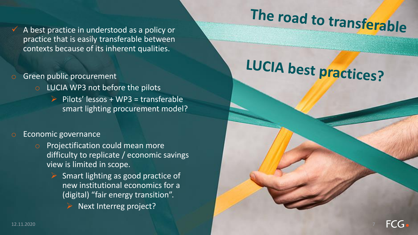$\checkmark$  A best practice in understood as a policy or practice that is easily transferable between contexts because of its inherent qualities.

- Green public procurement
	- o LUCIA WP3 not before the pilots
		- $\triangleright$  Pilots' lessos + WP3 = transferable smart lighting procurement model?

#### Economic governance

- Projectification could mean more difficulty to replicate / economic savings view is limited in scope.
	- $\triangleright$  Smart lighting as good practice of new institutional economics for a (digital) "fair energy transition".
		- Next Interreg project?

# The road to transferable

# LUCIA best practices?